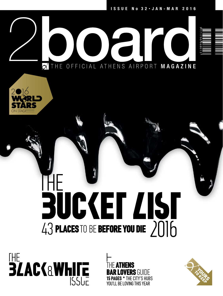

# **BUCKET LIST** places to be before you die  $2016$



IF **Athens**  $\mathop{\mathsf{A}}$ vers guide **15 pages \*** THE CITY'S HUBS YOU'LL BE LOVING THIS YEAR